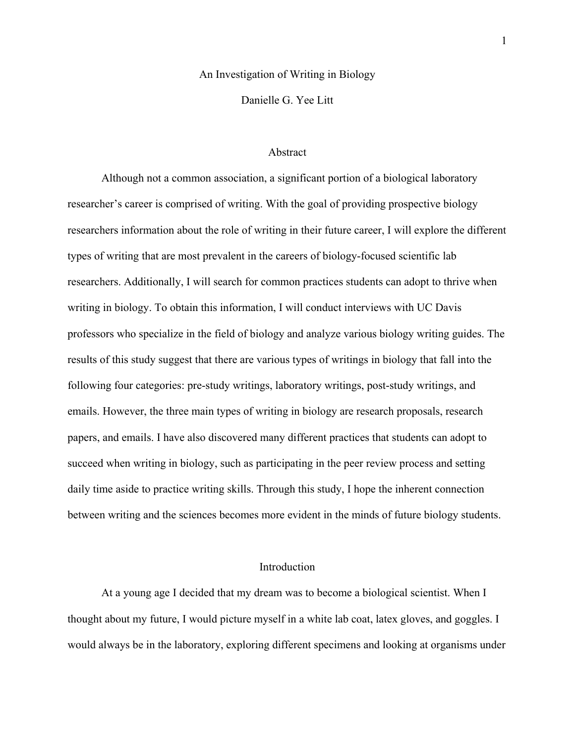#### An Investigation of Writing in Biology

Danielle G. Yee Litt

### Abstract

Although not a common association, a significant portion of a biological laboratory researcher's career is comprised of writing. With the goal of providing prospective biology researchers information about the role of writing in their future career, I will explore the different types of writing that are most prevalent in the careers of biology-focused scientific lab researchers. Additionally, I will search for common practices students can adopt to thrive when writing in biology. To obtain this information, I will conduct interviews with UC Davis professors who specialize in the field of biology and analyze various biology writing guides. The results of this study suggest that there are various types of writings in biology that fall into the following four categories: pre-study writings, laboratory writings, post-study writings, and emails. However, the three main types of writing in biology are research proposals, research papers, and emails. I have also discovered many different practices that students can adopt to succeed when writing in biology, such as participating in the peer review process and setting daily time aside to practice writing skills. Through this study, I hope the inherent connection between writing and the sciences becomes more evident in the minds of future biology students.

### Introduction

At a young age I decided that my dream was to become a biological scientist. When I thought about my future, I would picture myself in a white lab coat, latex gloves, and goggles. I would always be in the laboratory, exploring different specimens and looking at organisms under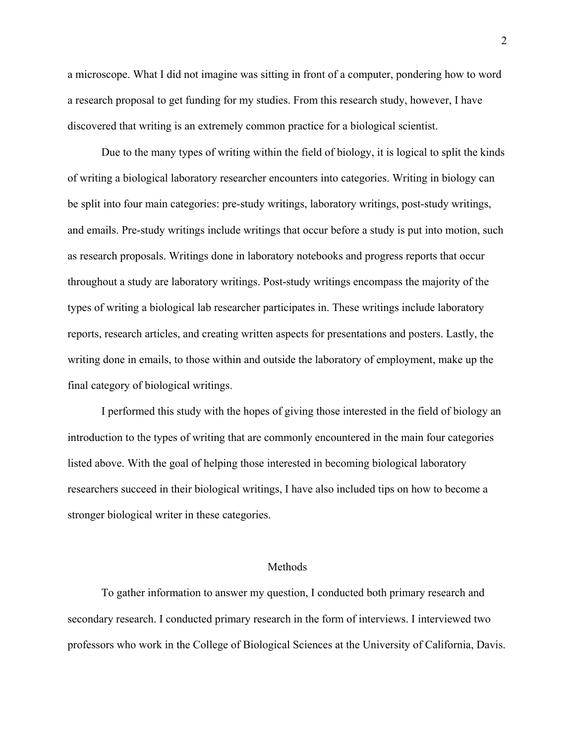a microscope. What I did not imagine was sitting in front of a computer, pondering how to word a research proposal to get funding for my studies. From this research study, however, I have discovered that writing is an extremely common practice for a biological scientist.

Due to the many types of writing within the field of biology, it is logical to split the kinds of writing a biological laboratory researcher encounters into categories. Writing in biology can be split into four main categories: pre-study writings, laboratory writings, post-study writings, and emails. Pre-study writings include writings that occur before a study is put into motion, such as research proposals. Writings done in laboratory notebooks and progress reports that occur throughout a study are laboratory writings. Post-study writings encompass the majority of the types of writing a biological lab researcher participates in. These writings include laboratory reports, research articles, and creating written aspects for presentations and posters. Lastly, the writing done in emails, to those within and outside the laboratory of employment, make up the final category of biological writings.

I performed this study with the hopes of giving those interested in the field of biology an introduction to the types of writing that are commonly encountered in the main four categories listed above. With the goal of helping those interested in becoming biological laboratory researchers succeed in their biological writings, I have also included tips on how to become a stronger biological writer in these categories.

#### Methods

To gather information to answer my question, I conducted both primary research and secondary research. I conducted primary research in the form of interviews. I interviewed two professors who work in the College of Biological Sciences at the University of California, Davis.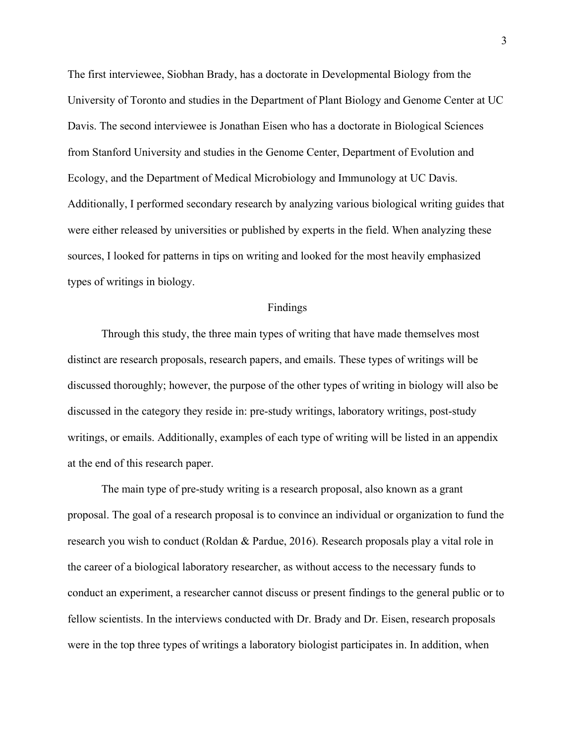The first interviewee, Siobhan Brady, has a doctorate in Developmental Biology from the University of Toronto and studies in the Department of Plant Biology and Genome Center at UC Davis. The second interviewee is Jonathan Eisen who has a doctorate in Biological Sciences from Stanford University and studies in the Genome Center, Department of Evolution and Ecology, and the Department of Medical Microbiology and Immunology at UC Davis. Additionally, I performed secondary research by analyzing various biological writing guides that were either released by universities or published by experts in the field. When analyzing these sources, I looked for patterns in tips on writing and looked for the most heavily emphasized types of writings in biology.

#### Findings

Through this study, the three main types of writing that have made themselves most distinct are research proposals, research papers, and emails. These types of writings will be discussed thoroughly; however, the purpose of the other types of writing in biology will also be discussed in the category they reside in: pre-study writings, laboratory writings, post-study writings, or emails. Additionally, examples of each type of writing will be listed in an appendix at the end of this research paper.

The main type of pre-study writing is a research proposal, also known as a grant proposal. The goal of a research proposal is to convince an individual or organization to fund the research you wish to conduct (Roldan & Pardue, 2016). Research proposals play a vital role in the career of a biological laboratory researcher, as without access to the necessary funds to conduct an experiment, a researcher cannot discuss or present findings to the general public or to fellow scientists. In the interviews conducted with Dr. Brady and Dr. Eisen, research proposals were in the top three types of writings a laboratory biologist participates in. In addition, when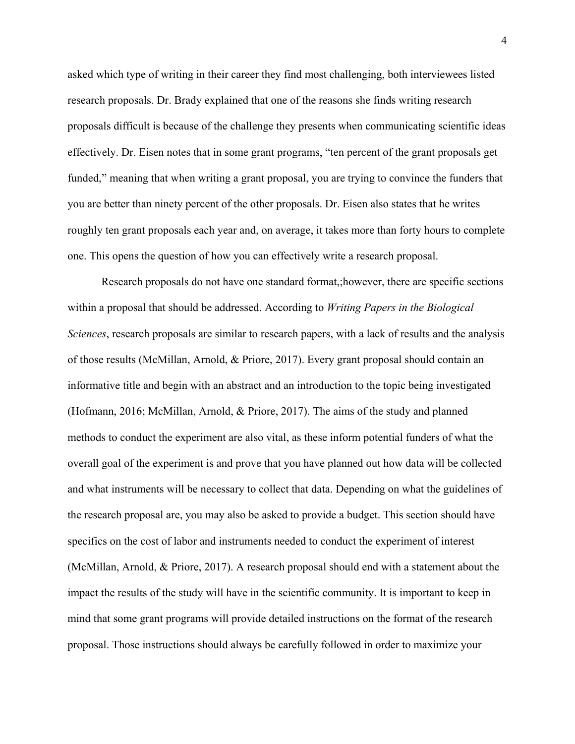asked which type of writing in their career they find most challenging, both interviewees listed research proposals. Dr. Brady explained that one of the reasons she finds writing research proposals difficult is because of the challenge they presents when communicating scientific ideas effectively. Dr. Eisen notes that in some grant programs, "ten percent of the grant proposals get funded," meaning that when writing a grant proposal, you are trying to convince the funders that you are better than ninety percent of the other proposals. Dr. Eisen also states that he writes roughly ten grant proposals each year and, on average, it takes more than forty hours to complete one. This opens the question of how you can effectively write a research proposal.

Research proposals do not have one standard format,;however, there are specific sections within a proposal that should be addressed. According to *Writing Papers in the Biological Sciences*, research proposals are similar to research papers, with a lack of results and the analysis of those results (McMillan, Arnold, & Priore, 2017). Every grant proposal should contain an informative title and begin with an abstract and an introduction to the topic being investigated (Hofmann, 2016; McMillan, Arnold, & Priore, 2017). The aims of the study and planned methods to conduct the experiment are also vital, as these inform potential funders of what the overall goal of the experiment is and prove that you have planned out how data will be collected and what instruments will be necessary to collect that data. Depending on what the guidelines of the research proposal are, you may also be asked to provide a budget. This section should have specifics on the cost of labor and instruments needed to conduct the experiment of interest (McMillan, Arnold, & Priore, 2017). A research proposal should end with a statement about the impact the results of the study will have in the scientific community. It is important to keep in mind that some grant programs will provide detailed instructions on the format of the research proposal. Those instructions should always be carefully followed in order to maximize your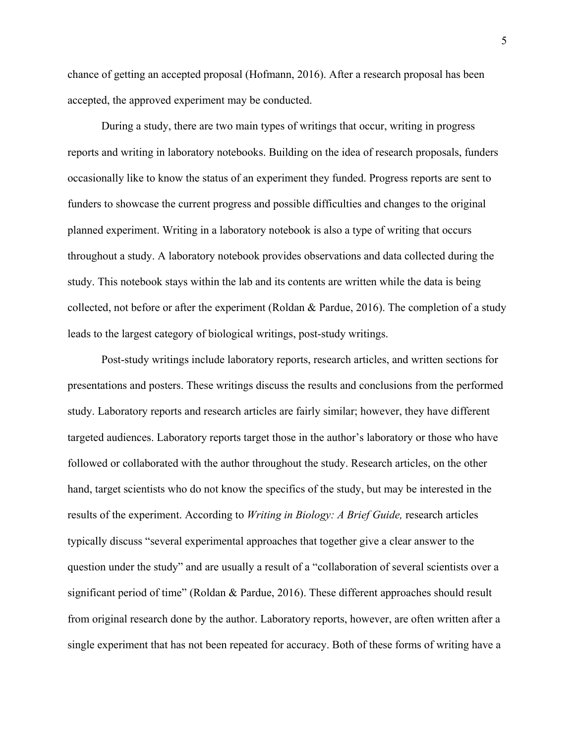chance of getting an accepted proposal (Hofmann, 2016). After a research proposal has been accepted, the approved experiment may be conducted.

During a study, there are two main types of writings that occur, writing in progress reports and writing in laboratory notebooks. Building on the idea of research proposals, funders occasionally like to know the status of an experiment they funded. Progress reports are sent to funders to showcase the current progress and possible difficulties and changes to the original planned experiment. Writing in a laboratory notebook is also a type of writing that occurs throughout a study. A laboratory notebook provides observations and data collected during the study. This notebook stays within the lab and its contents are written while the data is being collected, not before or after the experiment (Roldan & Pardue, 2016). The completion of a study leads to the largest category of biological writings, post-study writings.

Post-study writings include laboratory reports, research articles, and written sections for presentations and posters. These writings discuss the results and conclusions from the performed study. Laboratory reports and research articles are fairly similar; however, they have different targeted audiences. Laboratory reports target those in the author's laboratory or those who have followed or collaborated with the author throughout the study. Research articles, on the other hand, target scientists who do not know the specifics of the study, but may be interested in the results of the experiment. According to *Writing in Biology: A Brief Guide,* research articles typically discuss "several experimental approaches that together give a clear answer to the question under the study" and are usually a result of a "collaboration of several scientists over a significant period of time" (Roldan & Pardue, 2016). These different approaches should result from original research done by the author. Laboratory reports, however, are often written after a single experiment that has not been repeated for accuracy. Both of these forms of writing have a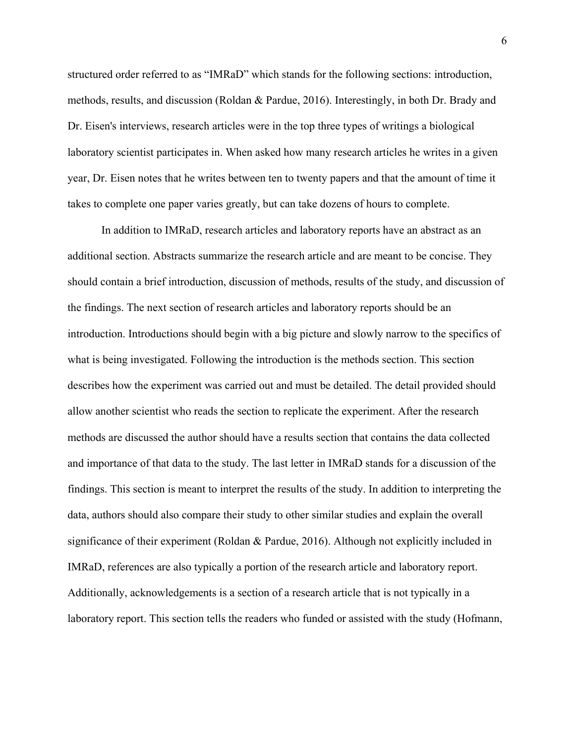structured order referred to as "IMRaD" which stands for the following sections: introduction, methods, results, and discussion (Roldan & Pardue, 2016). Interestingly, in both Dr. Brady and Dr. Eisen's interviews, research articles were in the top three types of writings a biological laboratory scientist participates in. When asked how many research articles he writes in a given year, Dr. Eisen notes that he writes between ten to twenty papers and that the amount of time it takes to complete one paper varies greatly, but can take dozens of hours to complete.

In addition to IMRaD, research articles and laboratory reports have an abstract as an additional section. Abstracts summarize the research article and are meant to be concise. They should contain a brief introduction, discussion of methods, results of the study, and discussion of the findings. The next section of research articles and laboratory reports should be an introduction. Introductions should begin with a big picture and slowly narrow to the specifics of what is being investigated. Following the introduction is the methods section. This section describes how the experiment was carried out and must be detailed. The detail provided should allow another scientist who reads the section to replicate the experiment. After the research methods are discussed the author should have a results section that contains the data collected and importance of that data to the study. The last letter in IMRaD stands for a discussion of the findings. This section is meant to interpret the results of the study. In addition to interpreting the data, authors should also compare their study to other similar studies and explain the overall significance of their experiment (Roldan & Pardue, 2016). Although not explicitly included in IMRaD, references are also typically a portion of the research article and laboratory report. Additionally, acknowledgements is a section of a research article that is not typically in a laboratory report. This section tells the readers who funded or assisted with the study (Hofmann,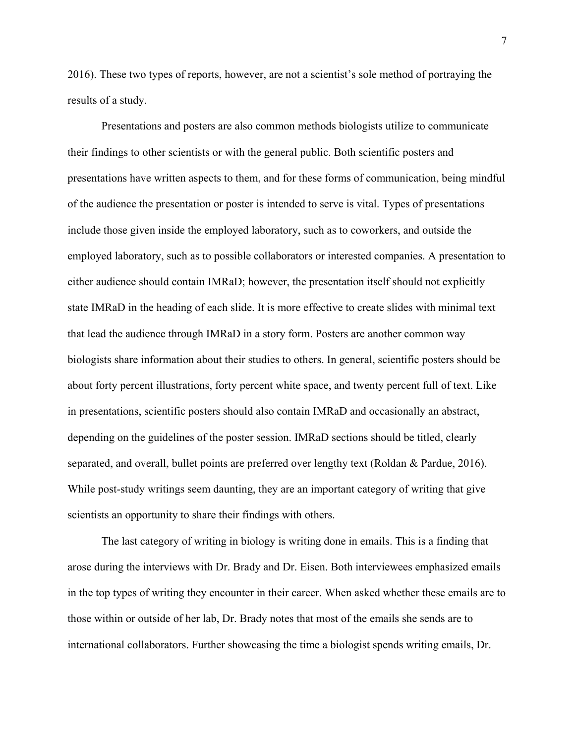2016). These two types of reports, however, are not a scientist's sole method of portraying the results of a study.

Presentations and posters are also common methods biologists utilize to communicate their findings to other scientists or with the general public. Both scientific posters and presentations have written aspects to them, and for these forms of communication, being mindful of the audience the presentation or poster is intended to serve is vital. Types of presentations include those given inside the employed laboratory, such as to coworkers, and outside the employed laboratory, such as to possible collaborators or interested companies. A presentation to either audience should contain IMRaD; however, the presentation itself should not explicitly state IMRaD in the heading of each slide. It is more effective to create slides with minimal text that lead the audience through IMRaD in a story form. Posters are another common way biologists share information about their studies to others. In general, scientific posters should be about forty percent illustrations, forty percent white space, and twenty percent full of text. Like in presentations, scientific posters should also contain IMRaD and occasionally an abstract, depending on the guidelines of the poster session. IMRaD sections should be titled, clearly separated, and overall, bullet points are preferred over lengthy text (Roldan & Pardue, 2016). While post-study writings seem daunting, they are an important category of writing that give scientists an opportunity to share their findings with others.

The last category of writing in biology is writing done in emails. This is a finding that arose during the interviews with Dr. Brady and Dr. Eisen. Both interviewees emphasized emails in the top types of writing they encounter in their career. When asked whether these emails are to those within or outside of her lab, Dr. Brady notes that most of the emails she sends are to international collaborators. Further showcasing the time a biologist spends writing emails, Dr.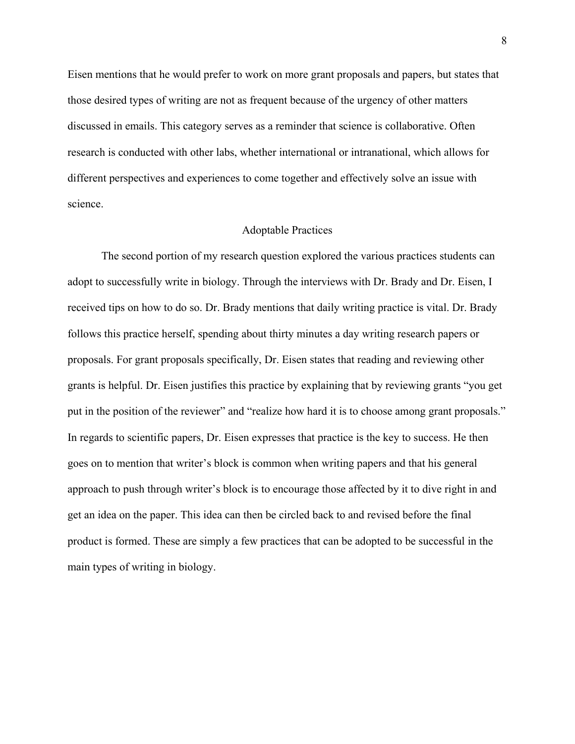Eisen mentions that he would prefer to work on more grant proposals and papers, but states that those desired types of writing are not as frequent because of the urgency of other matters discussed in emails. This category serves as a reminder that science is collaborative. Often research is conducted with other labs, whether international or intranational, which allows for different perspectives and experiences to come together and effectively solve an issue with science.

#### Adoptable Practices

The second portion of my research question explored the various practices students can adopt to successfully write in biology. Through the interviews with Dr. Brady and Dr. Eisen, I received tips on how to do so. Dr. Brady mentions that daily writing practice is vital. Dr. Brady follows this practice herself, spending about thirty minutes a day writing research papers or proposals. For grant proposals specifically, Dr. Eisen states that reading and reviewing other grants is helpful. Dr. Eisen justifies this practice by explaining that by reviewing grants "you get put in the position of the reviewer" and "realize how hard it is to choose among grant proposals." In regards to scientific papers, Dr. Eisen expresses that practice is the key to success. He then goes on to mention that writer's block is common when writing papers and that his general approach to push through writer's block is to encourage those affected by it to dive right in and get an idea on the paper. This idea can then be circled back to and revised before the final product is formed. These are simply a few practices that can be adopted to be successful in the main types of writing in biology.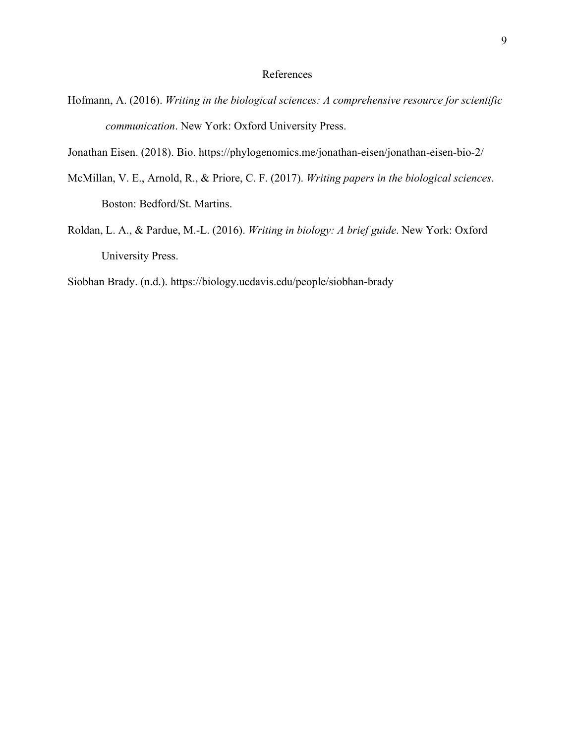## References

- Hofmann, A. (2016). *Writing in the biological sciences: A comprehensive resource for scientific communication*. New York: Oxford University Press.
- Jonathan Eisen. (2018). Bio. https://phylogenomics.me/jonathan-eisen/jonathan-eisen-bio-2/
- McMillan, V. E., Arnold, R., & Priore, C. F. (2017). *Writing papers in the biological sciences*. Boston: Bedford/St. Martins.
- Roldan, L. A., & Pardue, M.-L. (2016). *Writing in biology: A brief guide*. New York: Oxford University Press.

Siobhan Brady. (n.d.). https://biology.ucdavis.edu/people/siobhan-brady